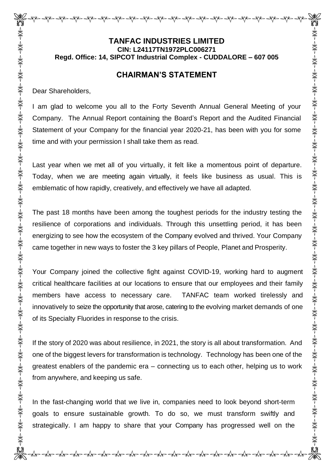# **TANFAC INDUSTRIES LIMITED CIN: L24117TN1972PLC006271 Regd. Office: 14, SIPCOT Industrial Complex - CUDDALORE – 607 005**

## **CHAIRMAN'S STATEMENT**

Dear Shareholders,

I am glad to welcome you all to the Forty Seventh Annual General Meeting of your Company. The Annual Report containing the Board's Report and the Audited Financial Statement of your Company for the financial year 2020-21, has been with you for some time and with your permission I shall take them as read.

Last year when we met all of you virtually, it felt like a momentous point of departure. Today, when we are meeting again virtually, it feels like business as usual. This is emblematic of how rapidly, creatively, and effectively we have all adapted.

The past 18 months have been among the toughest periods for the industry testing the resilience of corporations and individuals. Through this unsettling period, it has been energizing to see how the ecosystem of the Company evolved and thrived. Your Company came together in new ways to foster the 3 key pillars of People, Planet and Prosperity.

Your Company joined the collective fight against COVID-19, working hard to augment critical healthcare facilities at our locations to ensure that our employees and their family members have access to necessary care. TANFAC team worked tirelessly and innovatively to seize the opportunity that arose, catering to the evolving market demands of one of its Specialty Fluorides in response to the crisis.

If the story of 2020 was about resilience, in 2021, the story is all about transformation. And one of the biggest levers for transformation is technology. Technology has been one of the greatest enablers of the pandemic era – connecting us to each other, helping us to work from anywhere, and keeping us safe.

In the fast-changing world that we live in, companies need to look beyond short-term goals to ensure sustainable growth. To do so, we must transform swiftly and strategically. I am happy to share that your Company has progressed well on the

पौरू पौरू पौरू पौरू पौरू पौरू पौरू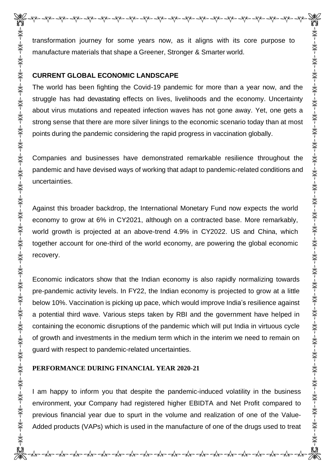transformation journey for some years now, as it aligns with its core purpose to manufacture materials that shape a Greener, Stronger & Smarter world.

#### **CURRENT GLOBAL ECONOMIC LANDSCAPE**

The world has been fighting the Covid-19 pandemic for more than a year now, and the struggle has had devastating effects on lives, livelihoods and the economy. Uncertainty about virus mutations and repeated infection waves has not gone away. Yet, one gets a strong sense that there are more silver linings to the economic scenario today than at most points during the pandemic considering the rapid progress in vaccination globally.

Companies and businesses have demonstrated remarkable resilience throughout the pandemic and have devised ways of working that adapt to pandemic-related conditions and uncertainties.

Against this broader backdrop, the International Monetary Fund now expects the world economy to grow at 6% in CY2021, although on a contracted base. More remarkably, world growth is projected at an above-trend 4.9% in CY2022. US and China, which together account for one-third of the world economy, are powering the global economic recovery.

Economic indicators show that the Indian economy is also rapidly normalizing towards pre-pandemic activity levels. In FY22, the Indian economy is projected to grow at a little below 10%. Vaccination is picking up pace, which would improve India's resilience against a potential third wave. Various steps taken by RBI and the government have helped in containing the economic disruptions of the pandemic which will put India in virtuous cycle of growth and investments in the medium term which in the interim we need to remain on guard with respect to pandemic-related uncertainties.

### **PERFORMANCE DURING FINANCIAL YEAR 2020-21**

I am happy to inform you that despite the pandemic-induced volatility in the business environment, your Company had registered higher EBIDTA and Net Profit compared to previous financial year due to spurt in the volume and realization of one of the Value-Added products (VAPs) which is used in the manufacture of one of the drugs used to treat

की नी के नी के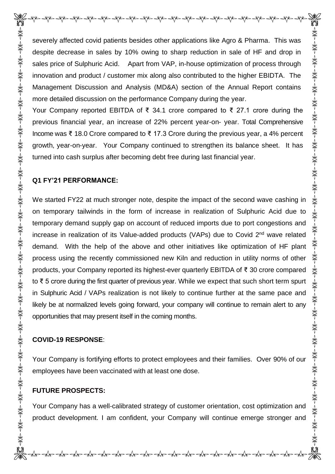severely affected covid patients besides other applications like Agro & Pharma. This was despite decrease in sales by 10% owing to sharp reduction in sale of HF and drop in sales price of Sulphuric Acid. Apart from VAP, in-house optimization of process through innovation and product / customer mix along also contributed to the higher EBIDTA. The Management Discussion and Analysis (MD&A) section of the Annual Report contains more detailed discussion on the performance Company during the year.

Your Company reported EBITDA of ₹ 34.1 crore compared to ₹ 27.1 crore during the previous financial year, an increase of 22% percent year-on- year. Total Comprehensive Income was ₹ 18.0 Crore compared to ₹ 17.3 Crore during the previous year, a 4% percent growth, year-on-year. Your Company continued to strengthen its balance sheet. It has turned into cash surplus after becoming debt free during last financial year.

### **Q1 FY'21 PERFORMANCE:**

We started FY22 at much stronger note, despite the impact of the second wave cashing in on temporary tailwinds in the form of increase in realization of Sulphuric Acid due to temporary demand supply gap on account of reduced imports due to port congestions and increase in realization of its Value-added products (VAPs) due to Covid 2nd wave related demand. With the help of the above and other initiatives like optimization of HF plant process using the recently commissioned new Kiln and reduction in utility norms of other products, your Company reported its highest-ever quarterly EBITDA of ₹ 30 crore compared to ₹ 5 crore during the first quarter of previous year. While we expect that such short term spurt in Sulphuric Acid / VAPs realization is not likely to continue further at the same pace and likely be at normalized levels going forward, your company will continue to remain alert to any opportunities that may present itself in the coming months.

# **COVID-19 RESPONSE**:

Your Company is fortifying efforts to protect employees and their families. Over 90% of our employees have been vaccinated with at least one dose.

# **FUTURE PROSPECTS:**

Your Company has a well-calibrated strategy of customer orientation, cost optimization and product development. I am confident, your Company will continue emerge stronger and

Dr-Ar-Ar-Ar-Ar

☀